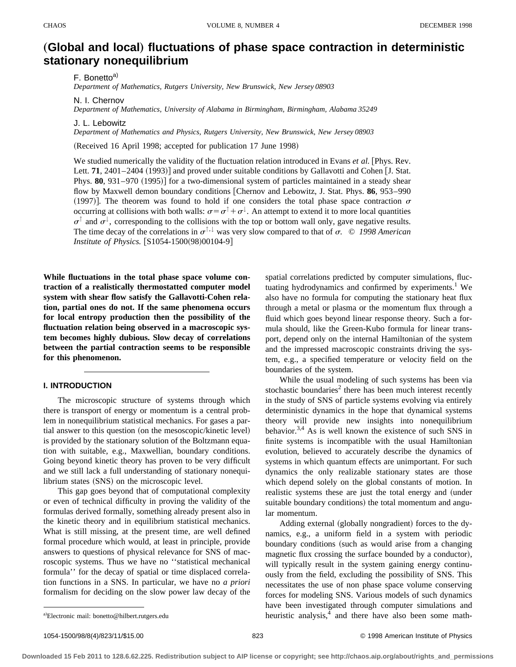# "**Global and local**… **fluctuations of phase space contraction in deterministic stationary nonequilibrium**

F. Bonetto<sup>a)</sup>

*Department of Mathematics, Rutgers University, New Brunswick, New Jersey 08903*

N. I. Chernov

*Department of Mathematics, University of Alabama in Birmingham, Birmingham, Alabama 35249*

J. L. Lebowitz

*Department of Mathematics and Physics, Rutgers University, New Brunswick, New Jersey 08903*

(Received 16 April 1998; accepted for publication 17 June 1998)

We studied numerically the validity of the fluctuation relation introduced in Evans *et al.* [Phys. Rev. Lett. **71**, 2401–2404  $(1993)$  and proved under suitable conditions by Gallavotti and Cohen [J. Stat. Phys. **80**, 931–970 (1995)] for a two-dimensional system of particles maintained in a steady shear flow by Maxwell demon boundary conditions [Chernov and Lebowitz, J. Stat. Phys. **86**, 953–990 (1997). The theorem was found to hold if one considers the total phase space contraction  $\sigma$ occurring at collisions with both walls:  $\sigma = \sigma^{\uparrow} + \sigma^{\downarrow}$ . An attempt to extend it to more local quantities  $\sigma^{\uparrow}$  and  $\sigma^{\downarrow}$ , corresponding to the collisions with the top or bottom wall only, gave negative results. The time decay of the correlations in  $\sigma^{\uparrow,\downarrow}$  was very slow compared to that of  $\sigma$ . © *1998 American Institute of Physics.* [S1054-1500(98)00104-9]

**While fluctuations in the total phase space volume contraction of a realistically thermostatted computer model system with shear flow satisfy the Gallavotti-Cohen relation, partial ones do not. If the same phenomena occurs for local entropy production then the possibility of the fluctuation relation being observed in a macroscopic system becomes highly dubious. Slow decay of correlations between the partial contraction seems to be responsible for this phenomenon.**

# **I. INTRODUCTION**

The microscopic structure of systems through which there is transport of energy or momentum is a central problem in nonequilibrium statistical mechanics. For gases a partial answer to this question (on the mesoscopic/kinetic level) is provided by the stationary solution of the Boltzmann equation with suitable, e.g., Maxwellian, boundary conditions. Going beyond kinetic theory has proven to be very difficult and we still lack a full understanding of stationary nonequilibrium states (SNS) on the microscopic level.

This gap goes beyond that of computational complexity or even of technical difficulty in proving the validity of the formulas derived formally, something already present also in the kinetic theory and in equilibrium statistical mechanics. What is still missing, at the present time, are well defined formal procedure which would, at least in principle, provide answers to questions of physical relevance for SNS of macroscopic systems. Thus we have no ''statistical mechanical formula'' for the decay of spatial or time displaced correlation functions in a SNS. In particular, we have no *a priori* formalism for deciding on the slow power law decay of the spatial correlations predicted by computer simulations, fluctuating hydrodynamics and confirmed by experiments.<sup>1</sup> We also have no formula for computing the stationary heat flux through a metal or plasma or the momentum flux through a fluid which goes beyond linear response theory. Such a formula should, like the Green-Kubo formula for linear transport, depend only on the internal Hamiltonian of the system and the impressed macroscopic constraints driving the system, e.g., a specified temperature or velocity field on the boundaries of the system.

While the usual modeling of such systems has been via stochastic boundaries<sup>2</sup> there has been much interest recently in the study of SNS of particle systems evolving via entirely deterministic dynamics in the hope that dynamical systems theory will provide new insights into nonequilibrium behavior.<sup>3,4</sup> As is well known the existence of such SNS in finite systems is incompatible with the usual Hamiltonian evolution, believed to accurately describe the dynamics of systems in which quantum effects are unimportant. For such dynamics the only realizable stationary states are those which depend solely on the global constants of motion. In realistic systems these are just the total energy and (under suitable boundary conditions) the total momentum and angular momentum.

Adding external (globally nongradient) forces to the dynamics, e.g., a uniform field in a system with periodic boundary conditions (such as would arise from a changing magnetic flux crossing the surface bounded by a conductor), will typically result in the system gaining energy continuously from the field, excluding the possibility of SNS. This necessitates the use of non phase space volume conserving forces for modeling SNS. Various models of such dynamics have been investigated through computer simulations and heuristic analysis, $4$  and there have also been some math-

a)Electronic mail: bonetto@hilbert.rutgers.edu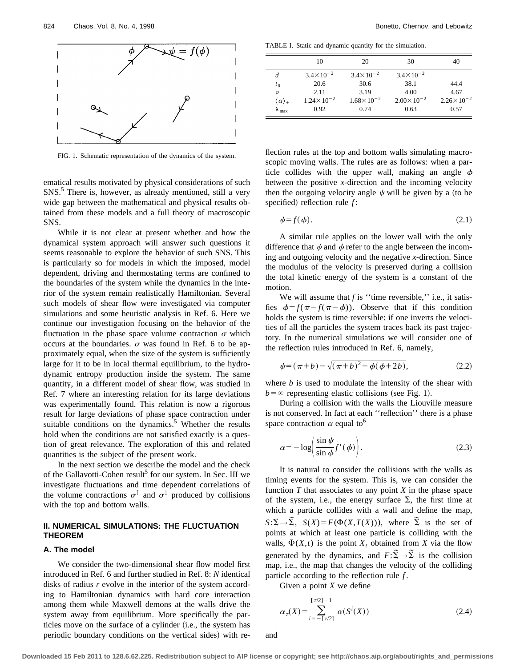

FIG. 1. Schematic representation of the dynamics of the system.

ematical results motivated by physical considerations of such SNS.<sup>5</sup> There is, however, as already mentioned, still a very wide gap between the mathematical and physical results obtained from these models and a full theory of macroscopic SNS.

While it is not clear at present whether and how the dynamical system approach will answer such questions it seems reasonable to explore the behavior of such SNS. This is particularly so for models in which the imposed, model dependent, driving and thermostating terms are confined to the boundaries of the system while the dynamics in the interior of the system remain realistically Hamiltonian. Several such models of shear flow were investigated via computer simulations and some heuristic analysis in Ref. 6. Here we continue our investigation focusing on the behavior of the fluctuation in the phase space volume contraction  $\sigma$  which occurs at the boundaries.  $\sigma$  was found in Ref. 6 to be approximately equal, when the size of the system is sufficiently large for it to be in local thermal equilibrium, to the hydrodynamic entropy production inside the system. The same quantity, in a different model of shear flow, was studied in Ref. 7 where an interesting relation for its large deviations was experimentally found. This relation is now a rigorous result for large deviations of phase space contraction under suitable conditions on the dynamics.<sup>5</sup> Whether the results hold when the conditions are not satisfied exactly is a question of great relevance. The exploration of this and related quantities is the subject of the present work.

In the next section we describe the model and the check of the Gallavotti-Cohen result<sup>5</sup> for our system. In Sec. III we investigate fluctuations and time dependent correlations of the volume contractions  $\sigma^{\uparrow}$  and  $\sigma^{\downarrow}$  produced by collisions with the top and bottom walls.

# **II. NUMERICAL SIMULATIONS: THE FLUCTUATION THEOREM**

#### **A. The model**

We consider the two-dimensional shear flow model first introduced in Ref. 6 and further studied in Ref. 8: *N* identical disks of radius *r* evolve in the interior of the system according to Hamiltonian dynamics with hard core interaction among them while Maxwell demons at the walls drive the system away from equilibrium. More specifically the particles move on the surface of a cylinder (i.e., the system has periodic boundary conditions on the vertical sides) with re-

TABLE I. Static and dynamic quantity for the simulation.

|                            | 10                    | 20                    | 30                   | 40                    |
|----------------------------|-----------------------|-----------------------|----------------------|-----------------------|
| d                          | $3.4 \times 10^{-2}$  | $3.4 \times 10^{-2}$  | $3.4 \times 10^{-2}$ |                       |
| $t_{0}$                    | 20.6                  | 30.6                  | 38.1                 | 44.4                  |
| $\boldsymbol{\nu}$         | 2.11                  | 3.19                  | 4.00                 | 4.67                  |
| $\langle \alpha \rangle_+$ | $1.24 \times 10^{-2}$ | $1.68 \times 10^{-2}$ | $2.00\times10^{-2}$  | $2.26 \times 10^{-2}$ |
| $\mathbf{A}_{\text{max}}$  | 0.92                  | 0.74                  | 0.63                 | 0.57                  |

flection rules at the top and bottom walls simulating macroscopic moving walls. The rules are as follows: when a particle collides with the upper wall, making an angle  $\phi$ between the positive *x*-direction and the incoming velocity then the outgoing velocity angle  $\psi$  will be given by a (to be specified) reflection rule *f*:

$$
\psi = f(\phi). \tag{2.1}
$$

A similar rule applies on the lower wall with the only difference that  $\psi$  and  $\phi$  refer to the angle between the incoming and outgoing velocity and the negative *x*-direction. Since the modulus of the velocity is preserved during a collision the total kinetic energy of the system is a constant of the motion.

We will assume that *f* is "time reversible," i.e., it satisfies  $\phi = f(\pi - f(\pi - \phi))$ . Observe that if this condition holds the system is time reversible: if one inverts the velocities of all the particles the system traces back its past trajectory. In the numerical simulations we will consider one of the reflection rules introduced in Ref. 6, namely,

$$
\psi = (\pi + b) - \sqrt{(\pi + b)^2 - \phi(\phi + 2b)},\tag{2.2}
$$

where *b* is used to modulate the intensity of the shear with  $b = \infty$  representing elastic collisions (see Fig. 1).

During a collision with the walls the Liouville measure is not conserved. In fact at each ''reflection'' there is a phase space contraction  $\alpha$  equal to<sup>6</sup>

$$
\alpha = -\log\left(\frac{\sin\psi}{\sin\phi}f'(\phi)\right). \tag{2.3}
$$

It is natural to consider the collisions with the walls as timing events for the system. This is, we can consider the function  $T$  that associates to any point  $X$  in the phase space of the system, i.e., the energy surface  $\Sigma$ , the first time at which a particle collides with a wall and define the map,  $S:\Sigma \to \Sigma$ ,  $S(X) = F(\Phi(X,T(X)))$ , where  $\Sigma$  is the set of points at which at least one particle is colliding with the walls,  $\Phi(X,t)$  is the point  $X_t$  obtained from *X* via the flow generated by the dynamics, and  $F:\widetilde{\Sigma}\to\widetilde{\Sigma}$  is the collision map, i.e., the map that changes the velocity of the colliding particle according to the reflection rule *f* .

Given a point *X* we define

$$
\alpha_{\tau}(X) = \sum_{i=-\lceil \tau/2 \rceil}^{\lceil \tau/2 \rceil - 1} \alpha(S^{i}(X))
$$
\n(2.4)

and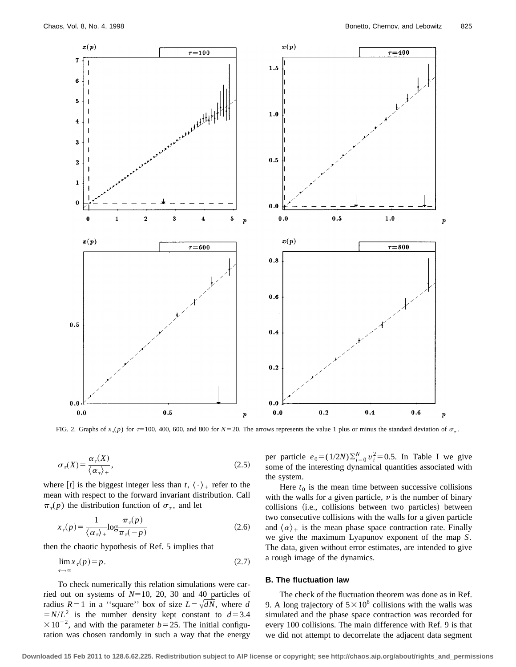

FIG. 2. Graphs of  $x_7(p)$  for  $\tau=100$ , 400, 600, and 800 for  $N=20$ . The arrows represents the value 1 plus or minus the standard deviation of  $\sigma_{\tau}$ .

$$
\sigma_{\tau}(X) = \frac{\alpha_{\tau}(X)}{\langle \alpha_{\tau} \rangle_{+}},\tag{2.5}
$$

where  $[t]$  is the biggest integer less than  $t$ ,  $\langle \cdot \rangle_+$  refer to the mean with respect to the forward invariant distribution. Call  $\pi_r(p)$  the distribution function of  $\sigma_r$ , and let

$$
x_{\tau}(p) = \frac{1}{\langle \alpha_{\tau} \rangle +} \log \frac{\pi_{\tau}(p)}{\pi_{\tau}(-p)}
$$
(2.6)

then the chaotic hypothesis of Ref. 5 implies that

$$
\lim_{\tau \to \infty} x_{\tau}(p) = p. \tag{2.7}
$$

To check numerically this relation simulations were carried out on systems of  $N=10$ , 20, 30 and 40 particles of radius  $R=1$  in a "square" box of size  $L=\sqrt{dN}$ , where *d*  $=N/L^2$  is the number density kept constant to  $d=3.4$  $\times$ 10<sup>-2</sup>, and with the parameter *b* = 25. The initial configuration was chosen randomly in such a way that the energy

per particle  $e_0 = (1/2N)\sum_{i=0}^{N} v_i^2 = 0.5$ . In Table I we give some of the interesting dynamical quantities associated with the system.

Here  $t_0$  is the mean time between successive collisions with the walls for a given particle,  $\nu$  is the number of binary collisions (i.e., collisions between two particles) between two consecutive collisions with the walls for a given particle and  $\langle \alpha \rangle_+$  is the mean phase space contraction rate. Finally we give the maximum Lyapunov exponent of the map *S*. The data, given without error estimates, are intended to give a rough image of the dynamics.

#### **B. The fluctuation law**

The check of the fluctuation theorem was done as in Ref. 9. A long trajectory of  $5 \times 10^8$  collisions with the walls was simulated and the phase space contraction was recorded for every 100 collisions. The main difference with Ref. 9 is that we did not attempt to decorrelate the adjacent data segment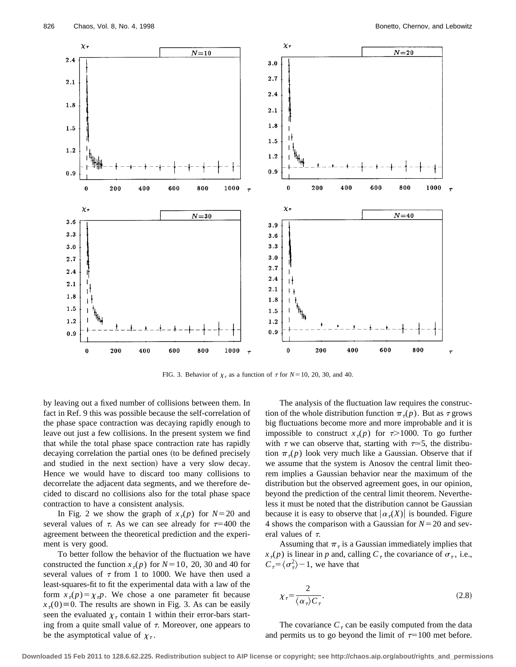

FIG. 3. Behavior of  $\chi_{\tau}$  as a function of  $\tau$  for *N*=10, 20, 30, and 40.

by leaving out a fixed number of collisions between them. In fact in Ref. 9 this was possible because the self-correlation of the phase space contraction was decaying rapidly enough to leave out just a few collisions. In the present system we find that while the total phase space contraction rate has rapidly decaying correlation the partial ones (to be defined precisely and studied in the next section) have a very slow decay. Hence we would have to discard too many collisions to decorrelate the adjacent data segments, and we therefore decided to discard no collisions also for the total phase space contraction to have a consistent analysis.

In Fig. 2 we show the graph of  $x_7(p)$  for  $N=20$  and several values of  $\tau$ . As we can see already for  $\tau=400$  the agreement between the theoretical prediction and the experiment is very good.

To better follow the behavior of the fluctuation we have constructed the function  $x_{\tau}(p)$  for  $N=10$ , 20, 30 and 40 for several values of  $\tau$  from 1 to 1000. We have then used a least-squares-fit to fit the experimental data with a law of the form  $x_{\tau}(p) = \chi_{\tau}p$ . We chose a one parameter fit because  $x<sub>7</sub>(0) \equiv 0$ . The results are shown in Fig. 3. As can be easily seen the evaluated  $\chi_{\tau}$  contain 1 within their error-bars starting from a quite small value of  $\tau$ . Moreover, one appears to be the asymptotical value of  $\chi_{\tau}$ .

The analysis of the fluctuation law requires the construction of the whole distribution function  $\pi_{\tau}(p)$ . But as  $\tau$  grows big fluctuations become more and more improbable and it is impossible to construct  $x_{\tau}(p)$  for  $\tau > 1000$ . To go further with  $\tau$  we can observe that, starting with  $\tau \approx 5$ , the distribution  $\pi_{\tau}(p)$  look very much like a Gaussian. Observe that if we assume that the system is Anosov the central limit theorem implies a Gaussian behavior near the maximum of the distribution but the observed agreement goes, in our opinion, beyond the prediction of the central limit theorem. Nevertheless it must be noted that the distribution cannot be Gaussian because it is easy to observe that  $|\alpha_{\tau}(X)|$  is bounded. Figure 4 shows the comparison with a Gaussian for  $N=20$  and several values of  $\tau$ .

Assuming that  $\pi_{\tau}$  is a Gaussian immediately implies that  $x_{\tau}(p)$  is linear in *p* and, calling  $C_{\tau}$  the covariance of  $\sigma_{\tau}$ , i.e.,  $C_{\tau} = \langle \sigma_{\tau}^2 \rangle - 1$ , we have that

$$
\chi_{\tau} = \frac{2}{\langle \alpha_{\tau} \rangle C_{\tau}}.
$$
\n(2.8)

The covariance  $C_{\tau}$  can be easily computed from the data and permits us to go beyond the limit of  $\tau=100$  met before.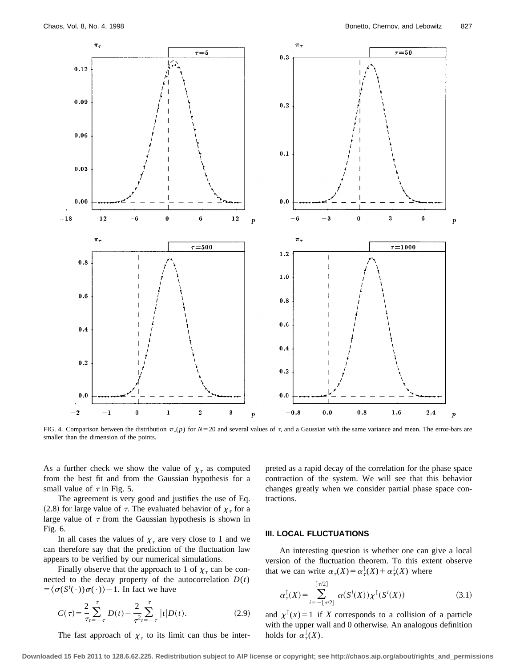

FIG. 4. Comparison between the distribution  $\pi_r(p)$  for  $N=20$  and several values of  $\tau$ , and a Gaussian with the same variance and mean. The error-bars are smaller than the dimension of the points.

As a further check we show the value of  $\chi_{\tau}$  as computed from the best fit and from the Gaussian hypothesis for a small value of  $\tau$  in Fig. 5.

The agreement is very good and justifies the use of Eq. (2.8) for large value of  $\tau$ . The evaluated behavior of  $\chi_{\tau}$  for a large value of  $\tau$  from the Gaussian hypothesis is shown in Fig. 6.

In all cases the values of  $\chi_{\tau}$  are very close to 1 and we can therefore say that the prediction of the fluctuation law appears to be verified by our numerical simulations.

Finally observe that the approach to 1 of  $\chi_{\tau}$  can be connected to the decay property of the autocorrelation  $D(t)$  $=\langle \sigma(S^t(\cdot))\sigma(\cdot)\rangle - 1$ . In fact we have

$$
C(\tau) = \frac{2}{\tau} \sum_{t=-\tau}^{\tau} D(t) - \frac{2}{\tau^2} \sum_{t=-\tau}^{\tau} |t| D(t).
$$
 (2.9)

The fast approach of  $\chi_{\tau}$  to its limit can thus be inter-

preted as a rapid decay of the correlation for the phase space contraction of the system. We will see that this behavior changes greatly when we consider partial phase space contractions.

# **III. LOCAL FLUCTUATIONS**

An interesting question is whether one can give a local version of the fluctuation theorem. To this extent observe that we can write  $\alpha_{\tau}(X) = \alpha_{\tau}(X) + \alpha_{\tau}(X)$  where

$$
\alpha_{\tau}^{\uparrow}(X) = \sum_{i=-\lceil \tau/2 \rceil}^{\lceil \tau/2 \rceil} \alpha(S^{i}(X)) \chi^{\uparrow}(S^{i}(X)) \tag{3.1}
$$

and  $\chi^{\uparrow}(x) = 1$  if *X* corresponds to a collision of a particle with the upper wall and 0 otherwise. An analogous definition holds for  $\alpha^{\downarrow}_{\tau}(X)$ .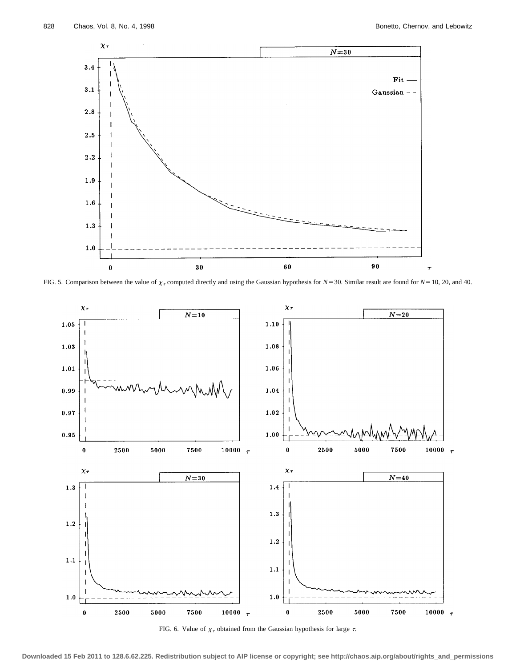

FIG. 5. Comparison between the value of  $\chi_{\tau}$  computed directly and using the Gaussian hypothesis for *N*=30. Similar result are found for *N*=10, 20, and 40.



FIG. 6. Value of  $\chi_{\tau}$  obtained from the Gaussian hypothesis for large  $\tau$ .

**Downloaded 15 Feb 2011 to 128.6.62.225. Redistribution subject to AIP license or copyright; see http://chaos.aip.org/about/rights\_and\_permissions**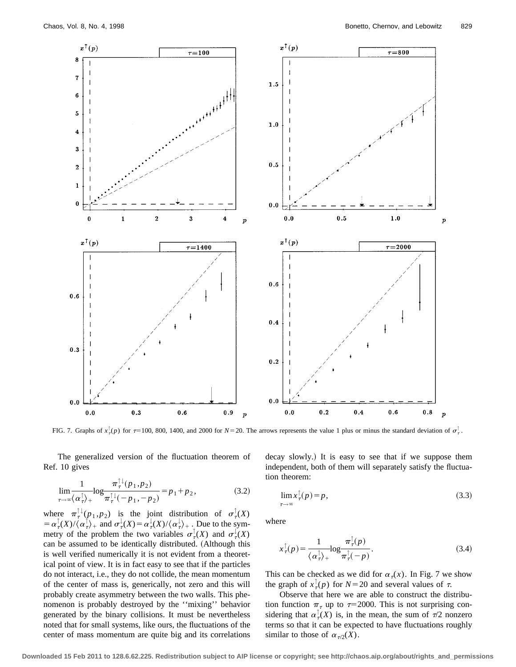

FIG. 7. Graphs of  $x^1_7(p)$  for  $\tau = 100$ , 800, 1400, and 2000 for  $N = 20$ . The arrows represents the value 1 plus or minus the standard deviation of  $\sigma^1$ .

The generalized version of the fluctuation theorem of Ref. 10 gives

$$
\lim_{\tau \to \infty} \frac{1}{\langle \alpha_{\tau}^{\dagger} \rangle_{+}} \log \frac{\pi_{\tau}^{\dagger \downarrow}(p_{1}, p_{2})}{\pi_{\tau}^{\dagger \downarrow}(-p_{1}, -p_{2})} = p_{1} + p_{2}, \tag{3.2}
$$

where  $\pi_{\tau}^{\perp\downarrow}(p_1, p_2)$  is the joint distribution of  $\sigma_{\tau}^{\perp}(X)$  $=\alpha_{\tau}^{\dagger}(X)/\langle \alpha_{\tau}^{\dagger} \rangle + \text{ and } \sigma_{\tau}^{\dagger}(X)=\alpha_{\tau}^{\dagger}(X)/\langle \alpha_{\tau}^{\dagger} \rangle + \text{. Due to the sym-}$ metry of the problem the two variables  $\sigma_{\tau}^{\mathbb{I}}(X)$  and  $\sigma_{\tau}^{\mathbb{I}}(X)$ can be assumed to be identically distributed. (Although this is well verified numerically it is not evident from a theoretical point of view. It is in fact easy to see that if the particles do not interact, i.e., they do not collide, the mean momentum of the center of mass is, generically, not zero and this will probably create asymmetry between the two walls. This phenomenon is probably destroyed by the ''mixing'' behavior generated by the binary collisions. It must be nevertheless noted that for small systems, like ours, the fluctuations of the center of mass momentum are quite big and its correlations decay slowly.) It is easy to see that if we suppose them independent, both of them will separately satisfy the fluctuation theorem:

$$
\lim_{\tau \to \infty} x_{\tau}^{\top}(p) = p,\tag{3.3}
$$

where

$$
x_{\tau}^{\uparrow}(p) = \frac{1}{\langle \alpha_{\tau}^{\uparrow} \rangle +} \log \frac{\pi_{\tau}^{\uparrow}(p)}{\pi_{\tau}^{\uparrow}(-p)}.
$$
 (3.4)

This can be checked as we did for  $\alpha_{\tau}(x)$ . In Fig. 7 we show the graph of  $x^{\dagger}_{\tau}(p)$  for  $N=20$  and several values of  $\tau$ .

Observe that here we are able to construct the distribution function  $\pi$ <sub> $\tau$ </sub> up to  $\tau$ =2000. This is not surprising considering that  $\alpha^{\dagger}_\tau(X)$  is, in the mean, the sum of  $\tau/2$  nonzero terms so that it can be expected to have fluctuations roughly similar to those of  $\alpha_{\tau/2}(X)$ .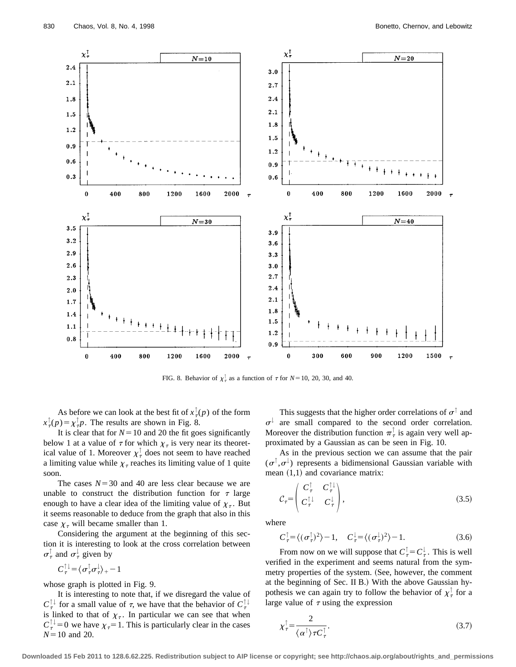

FIG. 8. Behavior of  $\chi^{\dagger}_{\tau}$  as a function of  $\tau$  for  $N=10$ , 20, 30, and 40.

As before we can look at the best fit of  $x^{\dagger}_\tau(p)$  of the form  $x^{\perp}_{\tau}(p) = \chi^{\perp}_{\tau} p$ . The results are shown in Fig. 8.

It is clear that for  $N=10$  and 20 the fit goes significantly below 1 at a value of  $\tau$  for which  $\chi_{\tau}$  is very near its theoretical value of 1. Moreover  $\chi^{\dagger}$  does not seem to have reached a limiting value while  $\chi_{\tau}$  reaches its limiting value of 1 quite soon.

The cases  $N=30$  and 40 are less clear because we are unable to construct the distribution function for  $\tau$  large enough to have a clear idea of the limiting value of  $\chi_{\tau}$ . But it seems reasonable to deduce from the graph that also in this case  $\chi_{\tau}$  will became smaller than 1.

Considering the argument at the beginning of this section it is interesting to look at the cross correlation between  $\sigma^{\perp}_{\tau}$  and  $\sigma^{\perp}_{\tau}$  given by

$$
C_{\tau}^{\uparrow\downarrow} = \langle \sigma_{\tau}^{\uparrow} \sigma_{\tau}^{\downarrow} \rangle_{+} - 1
$$

whose graph is plotted in Fig. 9.

It is interesting to note that, if we disregard the value of  $C^{\perp\downarrow}_{\tau}$  for a small value of  $\tau$ , we have that the behavior of  $C^{\perp\downarrow}_{\tau}$ is linked to that of  $\chi_{\tau}$ . In particular we can see that when  $C_{\tau}^{+1}=0$  we have  $\chi_{\tau}=1$ . This is particularly clear in the cases  $N=10$  and 20.

This suggests that the higher order correlations of  $\sigma^{\uparrow}$  and  $\sigma^{\downarrow}$  are small compared to the second order correlation. Moreover the distribution function  $\pi^{\uparrow}$  is again very well approximated by a Gaussian as can be seen in Fig. 10.

As in the previous section we can assume that the pair  $(\sigma^{\uparrow}, \sigma^{\downarrow})$  represents a bidimensional Gaussian variable with mean  $(1,1)$  and covariance matrix:

$$
\mathcal{C}_{\tau} = \begin{pmatrix} C_{\tau}^{\dagger} & C_{\tau}^{\dagger \dagger} \\ C_{\tau}^{\dagger \dagger} & C_{\tau}^{\dagger} \end{pmatrix},\tag{3.5}
$$

where

$$
C_{\tau}^{\uparrow} = \langle (\sigma_{\tau}^{\uparrow})^2 \rangle - 1, \quad C_{\tau}^{\downarrow} = \langle (\sigma_{\tau}^{\downarrow})^2 \rangle - 1. \tag{3.6}
$$

From now on we will suppose that  $C^{\dagger}_{\tau} = C^{\dagger}_{\tau}$ . This is well verified in the experiment and seems natural from the symmetry properties of the system. (See, however, the comment at the beginning of Sec. II B.) With the above Gaussian hypothesis we can again try to follow the behavior of  $\chi^{\dagger}$  for a large value of  $\tau$  using the expression

$$
\chi_{\tau}^{\uparrow} = \frac{2}{\langle \alpha^{\uparrow} \rangle \tau C_{\tau}^{\uparrow}}.
$$
\n(3.7)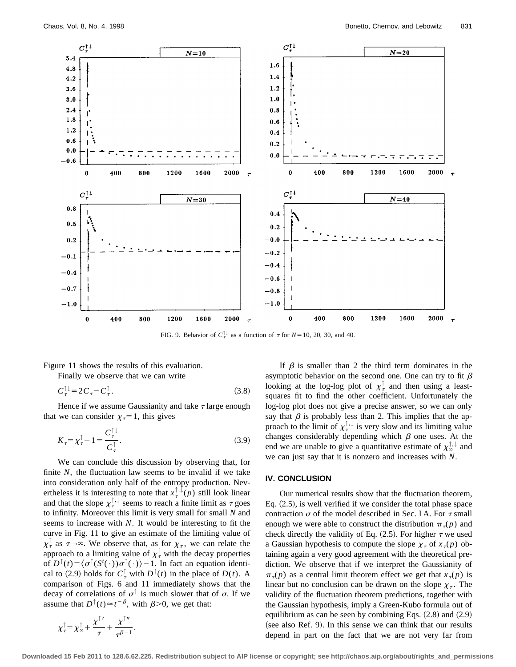

FIG. 9. Behavior of  $C_{\tau}^{\perp}$  as a function of  $\tau$  for  $N=10, 20, 30,$  and 40.

Figure 11 shows the results of this evaluation.

Finally we observe that we can write

$$
C_{\tau}^{\top\downarrow} = 2C_{\tau} - C_{\tau}^{\top}.
$$
\n
$$
(3.8)
$$

Hence if we assume Gaussianity and take  $\tau$  large enough that we can consider  $\chi_7=1$ , this gives

$$
K_{\tau} = \chi_{\tau}^{\dagger} - 1 = \frac{C_{\tau}^{\dagger}}{C_{\tau}^{\dagger}}.
$$
 (3.9)

We can conclude this discussion by observing that, for finite  $N$ , the fluctuation law seems to be invalid if we take into consideration only half of the entropy production. Nevertheless it is interesting to note that  $x^{\uparrow,\downarrow}_{\tau}(p)$  still look linear and that the slope  $\chi^{\uparrow,\downarrow}_{\tau}$  seems to reach a finite limit as  $\tau$  goes to infinity. Moreover this limit is very small for small *N* and seems to increase with *N*. It would be interesting to fit the curve in Fig. 11 to give an estimate of the limiting value of  $\chi^{\perp}_{\tau}$  as  $\tau \rightarrow \infty$ . We observe that, as for  $\chi_{\tau}$ , we can relate the approach to a limiting value of  $\chi^{\dagger}$  with the decay properties of  $D^{\uparrow}(t) = \langle \sigma^{\uparrow}(S^t(\cdot))\sigma^{\uparrow}(\cdot)\rangle - 1$ . In fact an equation identical to (2.9) holds for  $C^{\dagger}_7$  with  $D^{\dagger}(t)$  in the place of  $D(t)$ . A comparison of Figs. 6 and 11 immediately shows that the decay of correlations of  $\sigma^{\uparrow}$  is much slower that of  $\sigma$ . If we assume that  $D^{\uparrow}(t) \simeq t^{-\beta}$ , with  $\beta > 0$ , we get that:

If 
$$
\beta
$$
 is smaller than 2 the third term dominates in the  
asymptotic behavior on the second one. One can try to fit  $\beta$   
looking at the log-log plot of  $\chi^{\dagger}_{\tau}$  and then using a least-  
squares fit to find the other coefficient. Unfortunately the  
log-log plot does not give a precise answer, so we can only  
say that  $\beta$  is probably less than 2. This implies that the ap-  
proach to the limit of  $\chi^{\dagger, \dagger}_{\tau}$  is very slow and its limiting value  
changes considerably depending which  $\beta$  one uses. At the  
end we are unable to give a quantitative estimate of  $\chi^{\dagger, \dagger}_{\infty}$  and  
we can just say that it is nonzero and increases with N.

#### **IV. CONCLUSION**

Our numerical results show that the fluctuation theorem, Eq.  $(2.5)$ , is well verified if we consider the total phase space contraction  $\sigma$  of the model described in Sec. I A. For  $\tau$  small enough we were able to construct the distribution  $\pi_r(p)$  and check directly the validity of Eq.  $(2.5)$ . For higher  $\tau$  we used a Gaussian hypothesis to compute the slope  $\chi_{\tau}$  of  $x_{\tau}(p)$  obtaining again a very good agreement with the theoretical prediction. We observe that if we interpret the Gaussianity of  $\pi_{\tau}(p)$  as a central limit theorem effect we get that  $x_{\tau}(p)$  is linear but no conclusion can be drawn on the slope  $\chi_{\tau}$ . The validity of the fluctuation theorem predictions, together with the Gaussian hypothesis, imply a Green-Kubo formula out of equilibrium as can be seen by combining Eqs.  $(2.8)$  and  $(2.9)$ (see also Ref. 9). In this sense we can think that our results depend in part on the fact that we are not very far from

$$
\chi_{\tau}^{\uparrow} = \chi_{\infty}^{\uparrow} + \frac{\chi^{\uparrow}'}{\tau} + \frac{\chi^{\uparrow}''}{\tau^{\beta-1}}.
$$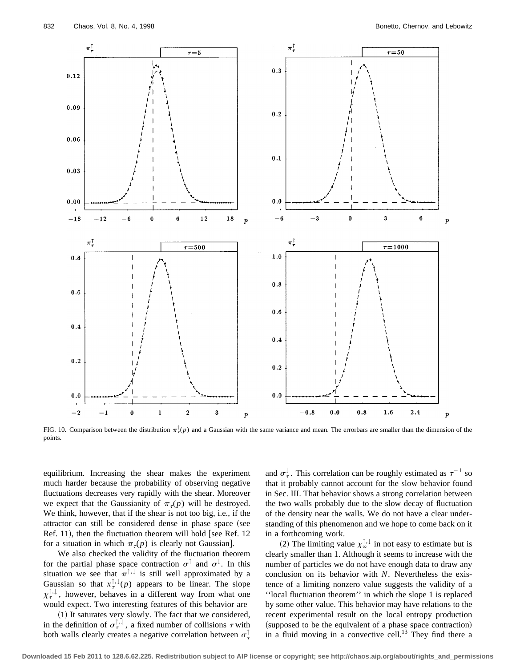

FIG. 10. Comparison between the distribution  $\pi^{\dagger}_r(p)$  and a Gaussian with the same variance and mean. The errorbars are smaller than the dimension of the points.

equilibrium. Increasing the shear makes the experiment much harder because the probability of observing negative fluctuations decreases very rapidly with the shear. Moreover we expect that the Gaussianity of  $\pi_r(p)$  will be destroyed. We think, however, that if the shear is not too big, i.e., if the attractor can still be considered dense in phase space (see Ref. 11), then the fluctuation theorem will hold [see Ref. 12 for a situation in which  $\pi_r(p)$  is clearly not Gaussian.

We also checked the validity of the fluctuation theorem for the partial phase space contraction  $\sigma^{\uparrow}$  and  $\sigma^{\downarrow}$ . In this situation we see that  $\pi^{\uparrow,\downarrow}$  is still well approximated by a Gaussian so that  $x^{\uparrow,\downarrow}_{\tau}(p)$  appears to be linear. The slope  $\chi^{\uparrow,\downarrow}_{\tau}$ , however, behaves in a different way from what one would expect. Two interesting features of this behavior are

 $(1)$  It saturates very slowly. The fact that we considered, in the definition of  $\sigma_{\tau}^{\uparrow,\downarrow}$ , a fixed number of collisions  $\tau$  with both walls clearly creates a negative correlation between  $\sigma^{\perp}_{\tau}$ 

and  $\sigma_{\tau}^{\downarrow}$ . This correlation can be roughly estimated as  $\tau^{-1}$  so that it probably cannot account for the slow behavior found in Sec. III. That behavior shows a strong correlation between the two walls probably due to the slow decay of fluctuation of the density near the walls. We do not have a clear understanding of this phenomenon and we hope to come back on it in a forthcoming work.

(2) The limiting value  $\chi^{\uparrow,\downarrow}_{\infty}$  in not easy to estimate but is clearly smaller than 1. Although it seems to increase with the number of particles we do not have enough data to draw any conclusion on its behavior with *N*. Nevertheless the existence of a limiting nonzero value suggests the validity of a ''local fluctuation theorem'' in which the slope 1 is replaced by some other value. This behavior may have relations to the recent experimental result on the local entropy production (supposed to be the equivalent of a phase space contraction) in a fluid moving in a convective cell.<sup>13</sup> They find there a

**Downloaded 15 Feb 2011 to 128.6.62.225. Redistribution subject to AIP license or copyright; see http://chaos.aip.org/about/rights\_and\_permissions**